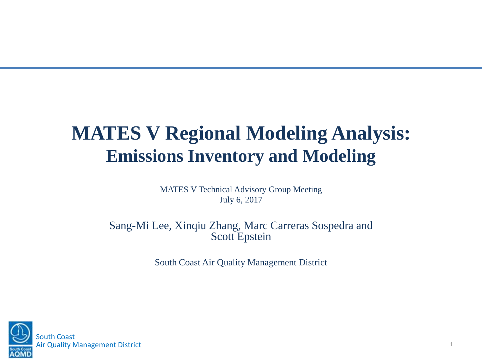### **MATES V Regional Modeling Analysis: Emissions Inventory and Modeling**

MATES V Technical Advisory Group Meeting July 6, 2017

Sang-Mi Lee, Xinqiu Zhang, Marc Carreras Sospedra and Scott Epstein

South Coast Air Quality Management District

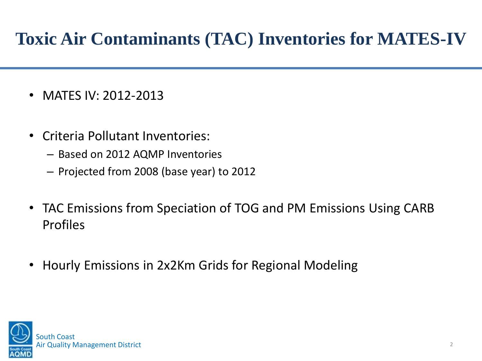#### **Toxic Air Contaminants (TAC) Inventories for MATES-IV**

- MATES IV: 2012-2013
- Criteria Pollutant Inventories:
	- Based on 2012 AQMP Inventories
	- Projected from 2008 (base year) to 2012
- TAC Emissions from Speciation of TOG and PM Emissions Using CARB Profiles
- Hourly Emissions in 2x2Km Grids for Regional Modeling

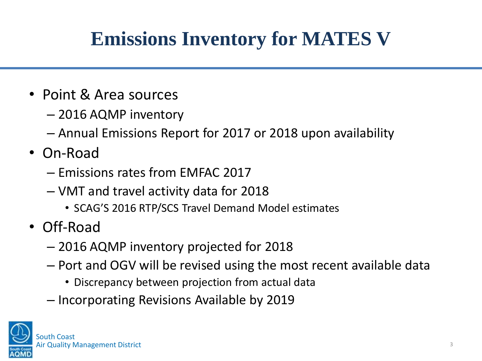# **Emissions Inventory for MATES V**

- Point & Area sources
	- 2016 AQMP inventory
	- Annual Emissions Report for 2017 or 2018 upon availability
- On-Road
	- Emissions rates from EMFAC 2017
	- VMT and travel activity data for 2018
		- SCAG'S 2016 RTP/SCS Travel Demand Model estimates
- Off-Road
	- 2016 AQMP inventory projected for 2018
	- Port and OGV will be revised using the most recent available data
		- Discrepancy between projection from actual data
	- Incorporating Revisions Available by 2019

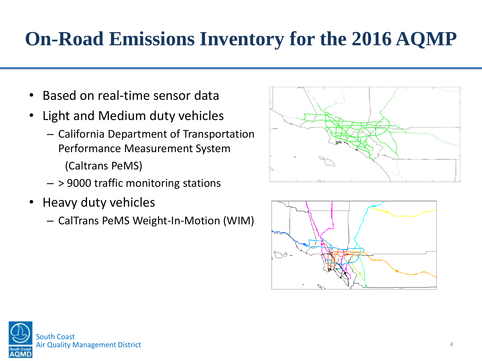### **On-Road Emissions Inventory for the 2016 AQMP**

- Based on real-time sensor data
- Light and Medium duty vehicles
	- California Department of Transportation Performance Measurement System (Caltrans PeMS)
	- > 9000 traffic monitoring stations
- Heavy duty vehicles
	- CalTrans PeMS Weight-In-Motion (WIM)





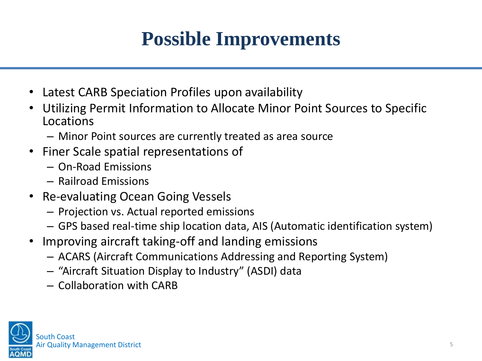# **Possible Improvements**

- Latest CARB Speciation Profiles upon availability
- Utilizing Permit Information to Allocate Minor Point Sources to Specific Locations
	- Minor Point sources are currently treated as area source
- Finer Scale spatial representations of
	- On-Road Emissions
	- Railroad Emissions
- Re-evaluating Ocean Going Vessels
	- Projection vs. Actual reported emissions
	- GPS based real-time ship location data, AIS (Automatic identification system)
- Improving aircraft taking-off and landing emissions
	- ACARS (Aircraft Communications Addressing and Reporting System)
	- "Aircraft Situation Display to Industry" (ASDI) data
	- Collaboration with CARB

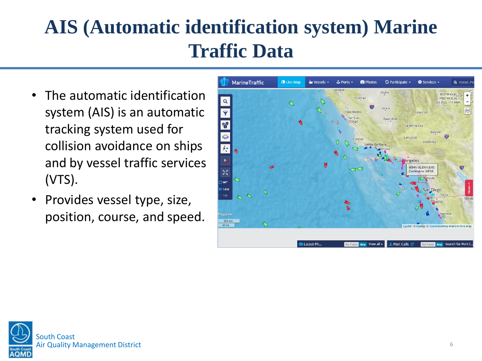# **AIS (Automatic identification system) Marine Traffic Data**

- The automatic identification system (AIS) is an automatic tracking system used for collision avoidance on ships and by vessel traffic services (VTS).
- Provides vessel type, size, position, course, and speed.



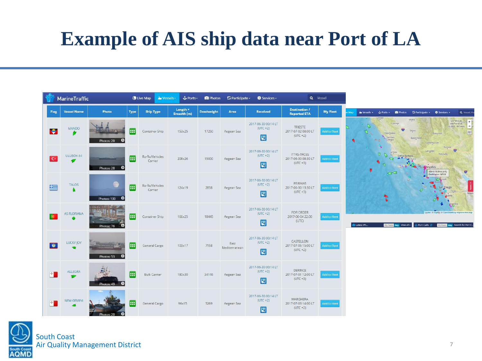### **Example of AIS ship data near Port of LA**





Q Vessel.

Ü

1/33"18'43 80

树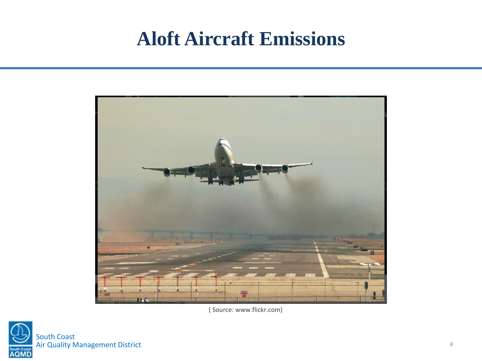#### **Aloft Aircraft Emissions**



( Source: www.flickr.com)

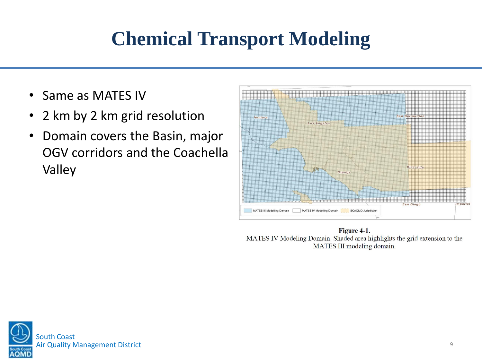### **Chemical Transport Modeling**

- Same as MATES IV
- 2 km by 2 km grid resolution
- Domain covers the Basin, major OGV corridors and the Coachella Valley



Figure 4-1. MATES IV Modeling Domain. Shaded area highlights the grid extension to the MATES III modeling domain.

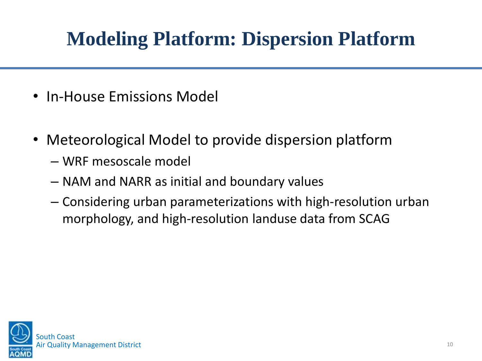# **Modeling Platform: Dispersion Platform**

- In-House Emissions Model
- Meteorological Model to provide dispersion platform
	- WRF mesoscale model
	- NAM and NARR as initial and boundary values
	- Considering urban parameterizations with high-resolution urban morphology, and high-resolution landuse data from SCAG

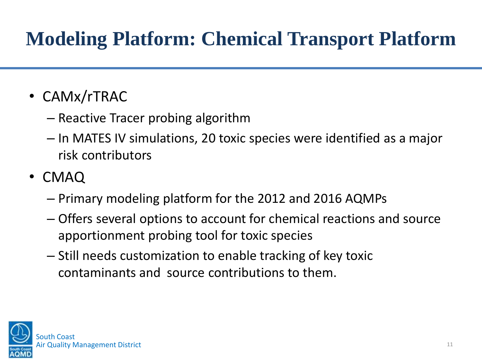# **Modeling Platform: Chemical Transport Platform**

- CAMx/rTRAC
	- Reactive Tracer probing algorithm
	- In MATES IV simulations, 20 toxic species were identified as a major risk contributors
- CMAQ
	- Primary modeling platform for the 2012 and 2016 AQMPs
	- Offers several options to account for chemical reactions and source apportionment probing tool for toxic species
	- Still needs customization to enable tracking of key toxic contaminants and source contributions to them.

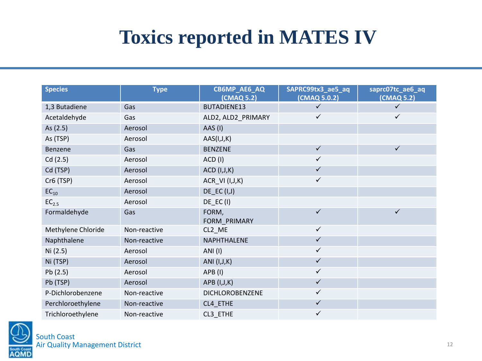### **Toxics reported in MATES IV**

| <b>Species</b>     | <b>Type</b>  | CB6MP_AE6_AQ<br>(CMAQ 5.2) | SAPRC99tx3_ae5_aq<br>(CMAQ 5.0.2) | saprc07tc_ae6_aq<br>(CMAQ 5.2) |
|--------------------|--------------|----------------------------|-----------------------------------|--------------------------------|
| 1,3 Butadiene      | Gas          | BUTADIENE13                | $\checkmark$                      | $\checkmark$                   |
| Acetaldehyde       | Gas          | ALD2, ALD2_PRIMARY         | $\checkmark$                      | $\checkmark$                   |
| As (2.5)           | Aerosol      | AAS (I)                    |                                   |                                |
| As (TSP)           | Aerosol      | AAS(I,J,K)                 |                                   |                                |
| Benzene            | Gas          | <b>BENZENE</b>             | $\checkmark$                      | $\checkmark$                   |
| Cd(2.5)            | Aerosol      | ACD (I)                    | $\checkmark$                      |                                |
| Cd (TSP)           | Aerosol      | <b>ACD</b> (I, J, K)       | $\checkmark$                      |                                |
| Cr6 (TSP)          | Aerosol      | ACR_VI (I, J, K)           | $\checkmark$                      |                                |
| $EC_{10}$          | Aerosol      | $DE\_EC$ (I,J)             |                                   |                                |
| $EC_{2.5}$         | Aerosol      | $DE\_EC$ (I)               |                                   |                                |
| Formaldehyde       | Gas          | FORM,<br>FORM PRIMARY      | $\checkmark$                      | $\checkmark$                   |
| Methylene Chloride | Non-reactive | CL2_ME                     | $\checkmark$                      |                                |
| Naphthalene        | Non-reactive | NAPHTHALENE                | $\checkmark$                      |                                |
| Ni (2.5)           | Aerosol      | ANI (I)                    | $\checkmark$                      |                                |
| Ni (TSP)           | Aerosol      | ANI (I, J, K)              | $\checkmark$                      |                                |
| Pb(2.5)            | Aerosol      | APB(I)                     | $\checkmark$                      |                                |
| Pb (TSP)           | Aerosol      | APB (I,J,K)                | $\checkmark$                      |                                |
| P-Dichlorobenzene  | Non-reactive | DICHLOROBENZENE            | $\checkmark$                      |                                |
| Perchloroethylene  | Non-reactive | CL4_ETHE                   | $\checkmark$                      |                                |
| Trichloroethylene  | Non-reactive | CL3 ETHE                   | $\checkmark$                      |                                |